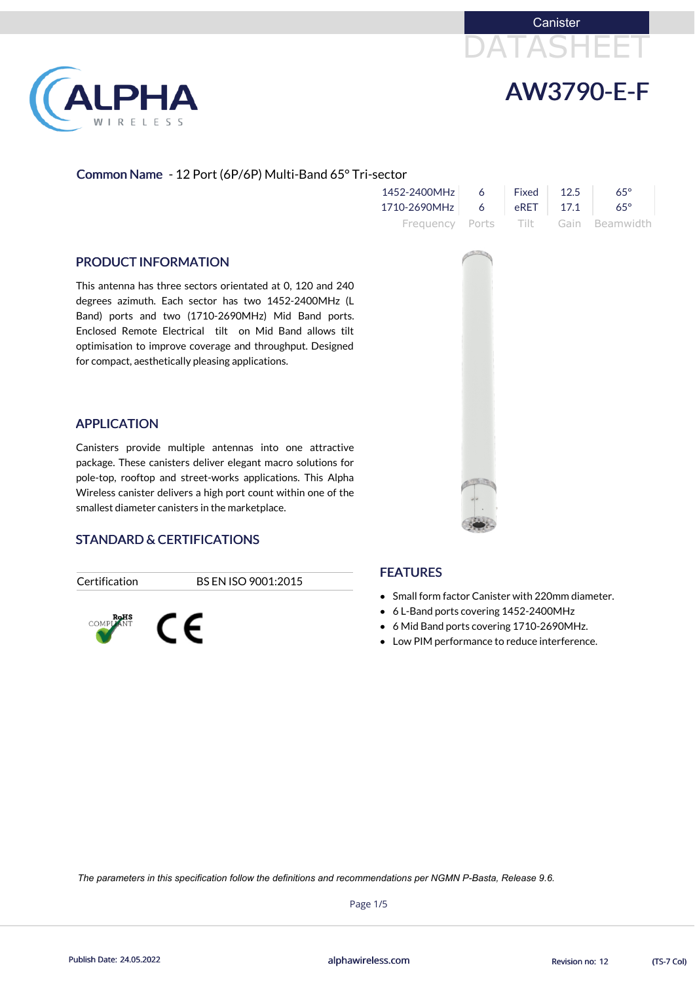



# Common Name - 12 Port (6P/6P) Multi-Band 65° Tri-sector

| 1452-2400MHz             | 6 <sup>6</sup> | Fixed $12.5$ | $65^\circ$                          |
|--------------------------|----------------|--------------|-------------------------------------|
| 1710-2690MHz 6 eRET 17.1 |                |              | $65^\circ$                          |
|                          |                |              | Frequency Ports Tilt Gain Beamwidth |

#### PRODUCT INFORMATION

This antenna has three sectors orientated at 0, 120 and 240 degrees azimuth. Each sector has two 1452-2400MHz (L Band) ports and two (1710-2690MHz) Mid Band ports. Enclosed Remote Electrical tilt on Mid Band allows tilt optimisation to improve coverage and throughput. Designed for compact, aesthetically pleasing applications.

- Small form factor Canister with 220mm diameter.
- 6 L-Band ports covering 1452-2400MHz
- 6 Mid Band ports covering 1710-2690MHz.
- Low PIM performance to reduce interference.





#### APPLICATION

Canisters provide multiple antennas into one attractive package. These canisters deliver elegant macro solutions for pole-top, rooftop and street-works applications. This Alpha Wireless canister delivers a high port count within one of the smallest diameter canisters in the marketplace.

## STANDARD & CERTIFICATIONS

Certification BS EN ISO 9001:2015



#### **FEATURES**

Page 1/5

Publish Date: 24.05.2022 **Exercise 20:03 Publish Date: 24.05.2022** CTS-7 Col)

*The parameters in this specification follow the definitions and recommendations per NGMN P-Basta, Release 9.6.*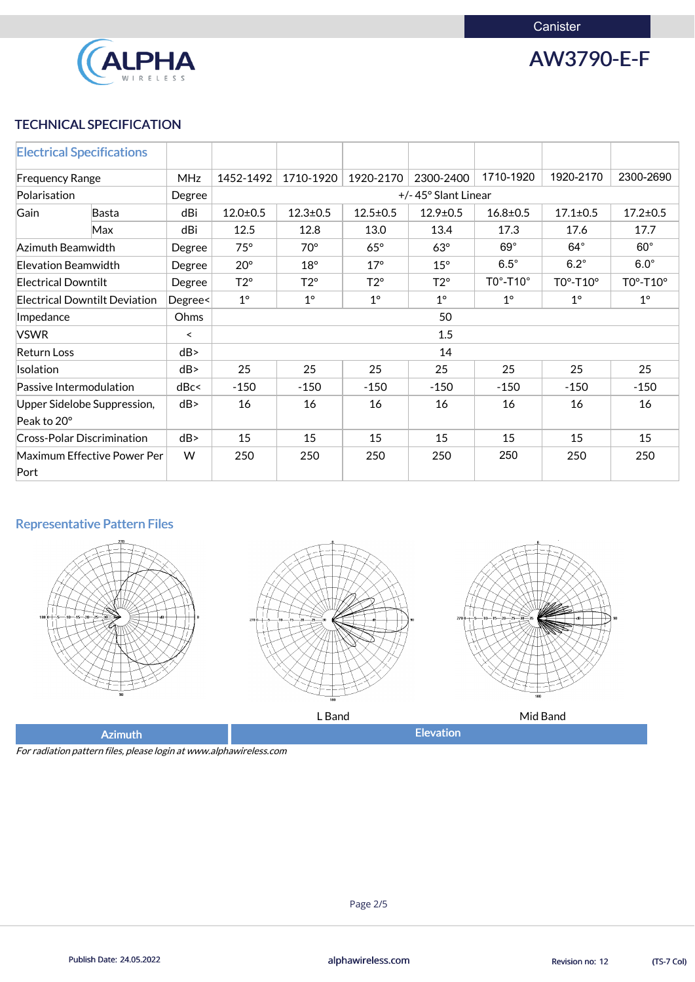

AW3790-E-F

## TECHNICAL SPECIFICATION

| <b>Electrical Specifications</b>           |              |            |                |                     |                |                |                              |                |                              |  |
|--------------------------------------------|--------------|------------|----------------|---------------------|----------------|----------------|------------------------------|----------------|------------------------------|--|
| <b>Frequency Range</b>                     |              | <b>MHz</b> | 1452-1492      | 1710-1920           | 1920-2170      | 2300-2400      | 1710-1920                    | 1920-2170      | 2300-2690                    |  |
| Polarisation                               |              | Degree     |                | +/-45° Slant Linear |                |                |                              |                |                              |  |
| Gain                                       | <b>Basta</b> | dBi        | $12.0 \pm 0.5$ | $12.3 \pm 0.5$      | $12.5 \pm 0.5$ | $12.9 \pm 0.5$ | $16.8 \pm 0.5$               | $17.1 \pm 0.5$ | $17.2 \pm 0.5$               |  |
|                                            | Max          | dBi        | 12.5           | 12.8                | 13.0           | 13.4           | 17.3                         | 17.6           | 17.7                         |  |
| Azimuth Beamwidth                          |              | Degree     | $75^\circ$     | $70^\circ$          | $65^\circ$     | $63^\circ$     | $69^\circ$                   | $64^\circ$     | $60^\circ$                   |  |
| Elevation Beamwidth                        |              | Degree     | $20^{\circ}$   | $18^{\circ}$        | $17^\circ$     | $15^{\circ}$   | $6.5^\circ$                  | $6.2^\circ$    | $6.0^\circ$                  |  |
| <b>Electrical Downtilt</b>                 |              | Degree     | $T2^{\circ}$   | $T2^{\circ}$        | $T2^{\circ}$   | $T2^{\circ}$   | $TO^{\circ}$ -T10 $^{\circ}$ | $TO°-T10°$     | $TO^{\circ}$ -T10 $^{\circ}$ |  |
| <b>Electrical Downtilt Deviation</b>       |              | Degree<    | $1^{\circ}$    | $1^\circ$           | $1^\circ$      | $1^{\circ}$    | $1^\circ$                    | $1^\circ$      | $1^{\circ}$                  |  |
| Impedance                                  |              | Ohms       | 50             |                     |                |                |                              |                |                              |  |
| <b>VSWR</b>                                |              | $\prec$    | 1.5            |                     |                |                |                              |                |                              |  |
| <b>Return Loss</b>                         |              | dB         | 14             |                     |                |                |                              |                |                              |  |
| Isolation                                  |              | dB         | 25             | 25                  | 25             | 25             | 25                           | 25             | 25                           |  |
| Passive Intermodulation                    |              | dBc<       | $-150$         | $-150$              | $-150$         | $-150$         | $-150$                       | $-150$         | $-150$                       |  |
| Upper Sidelobe Suppression,                |              | dB         | 16             | 16                  | 16             | 16             | 16                           | 16             | 16                           |  |
| Peak to 20°                                |              |            |                |                     |                |                |                              |                |                              |  |
| <b>Cross-Polar Discrimination</b>          |              | dB         | 15             | 15                  | 15             | 15             | 15                           | 15             | 15                           |  |
| <b>Maximum Effective Power Per</b><br>Port |              | W          | 250            | 250                 | 250            | 250            | 250                          | 250            | 250                          |  |

# Representative Pattern Files







L Band **Mid Band** 

Azimuth **Elevation** 

For radiation pattern files, please login at www.alphawireless.com



Publish Date: 24.05.2022 **Exercise 20:03 Publish Date: 24.05.2022** CTS-7 Col)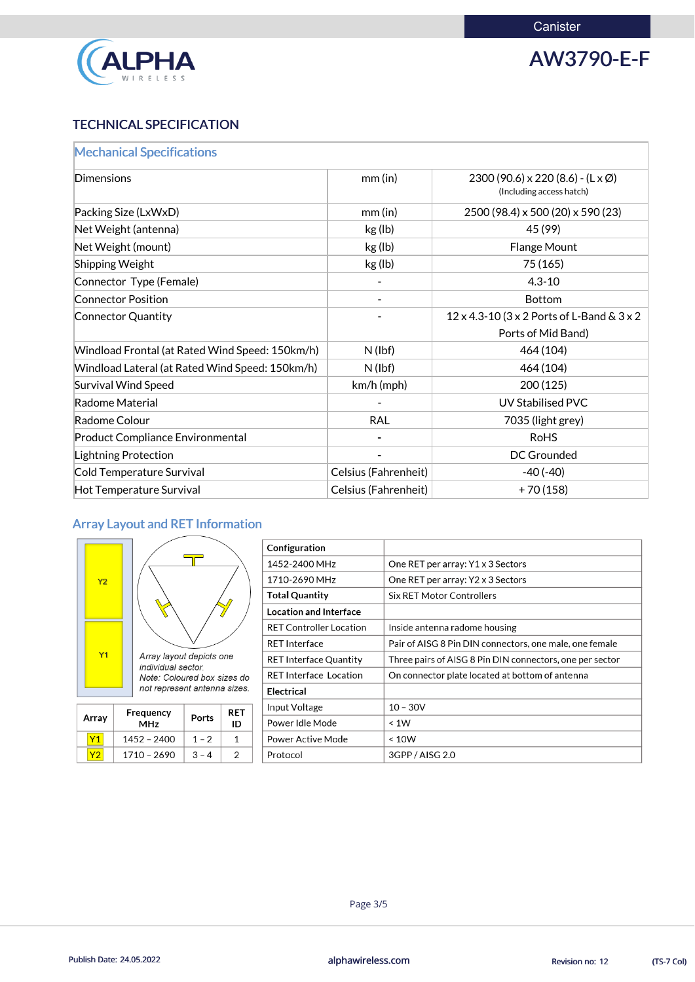

AW3790-E-F

# TECHNICAL SPECIFICATION

| <b>Mechanical Specifications</b>                |                      |                                                                                 |
|-------------------------------------------------|----------------------|---------------------------------------------------------------------------------|
| Dimensions                                      | $mm$ (in)            | $2300(90.6) \times 220(8.6) - (L \times \emptyset)$<br>(Including access hatch) |
| Packing Size (LxWxD)                            | $mm$ (in)            | 2500 (98.4) x 500 (20) x 590 (23)                                               |
| Net Weight (antenna)                            | kg (lb)              | 45 (99)                                                                         |
| Net Weight (mount)                              | kg (lb)              | <b>Flange Mount</b>                                                             |
| <b>Shipping Weight</b>                          | kg (lb)              | 75 (165)                                                                        |
| Connector Type (Female)                         |                      | $4.3 - 10$                                                                      |
| <b>Connector Position</b>                       |                      | <b>Bottom</b>                                                                   |
| Connector Quantity                              |                      | 12 x 4.3-10 (3 x 2 Ports of L-Band & 3 x 2                                      |
|                                                 |                      | Ports of Mid Band)                                                              |
| Windload Frontal (at Rated Wind Speed: 150km/h) | $N$ (lbf)            | 464 (104)                                                                       |
| Windload Lateral (at Rated Wind Speed: 150km/h) | $N$ (lbf)            | 464 (104)                                                                       |
| Survival Wind Speed                             | km/h (mph)           | 200(125)                                                                        |
| Radome Material                                 |                      | <b>UV Stabilised PVC</b>                                                        |
| Radome Colour                                   | <b>RAL</b>           | 7035 (light grey)                                                               |
| <b>Product Compliance Environmental</b>         |                      | <b>RoHS</b>                                                                     |
| Lightning Protection                            |                      | <b>DC Grounded</b>                                                              |
| Cold Temperature Survival                       | Celsius (Fahrenheit) | $-40(-40)$                                                                      |
| Hot Temperature Survival                        | Celsius (Fahrenheit) | $+70(158)$                                                                      |

# Array Layout and RET Information



|                |                                                      |  |                               | Configuration                                   |                                                          |
|----------------|------------------------------------------------------|--|-------------------------------|-------------------------------------------------|----------------------------------------------------------|
|                |                                                      |  |                               | 1452-2400 MHz                                   | One RET per array: Y1 x 3 Sectors                        |
| Y <sub>2</sub> |                                                      |  |                               | 1710-2690 MHz                                   | One RET per array: Y2 x 3 Sectors                        |
|                |                                                      |  |                               | <b>Total Quantity</b>                           | Six RET Motor Controllers                                |
|                | Array layout depicts one                             |  |                               | <b>Location and Interface</b>                   |                                                          |
|                |                                                      |  |                               | <b>RET Controller Location</b>                  | Inside antenna radome housing                            |
|                |                                                      |  |                               | <b>RET Interface</b>                            | Pair of AISG 8 Pin DIN connectors, one male, one female  |
| Y1             |                                                      |  |                               | <b>RET Interface Quantity</b>                   | Three pairs of AISG 8 Pin DIN connectors, one per sector |
|                | individual sector<br>Note: Coloured box sizes do     |  | <b>RET Interface Location</b> | On connector plate located at bottom of antenna |                                                          |
|                | not represent antenna sizes.                         |  | <b>Electrical</b>             |                                                 |                                                          |
|                | <b>RET</b><br>Frequency<br>Ports<br>ID<br><b>MHz</b> |  | Input Voltage                 | $10 - 30V$                                      |                                                          |
| Array          |                                                      |  |                               | Power Idle Mode                                 | < 1W                                                     |
| Y1             | $1 - 2$<br>1452 - 2400<br>1                          |  | <b>Power Active Mode</b>      | < 10W                                           |                                                          |
| Y2             | 1710 - 2690<br>2<br>$3 - 4$                          |  | Protocol                      | 3GPP / AISG 2.0                                 |                                                          |



Publish Date: 24.05.2022 **Exercise 20:03 Publish Date: 24.05.2022** CTS-7 Col)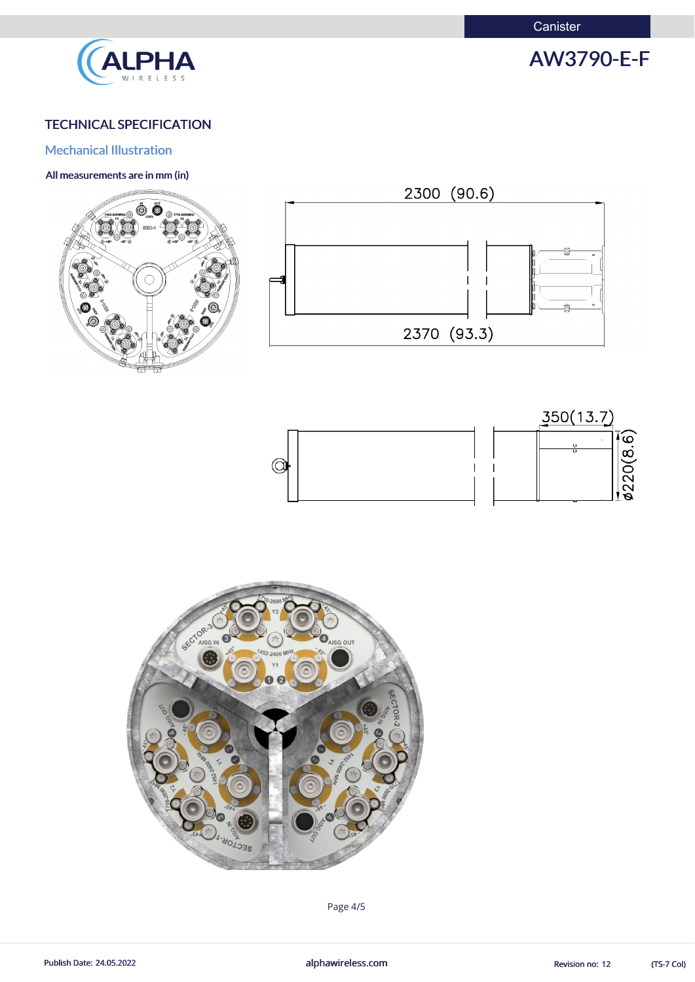**Canister** 



# AW3790-E-F

# TECHNICAL SPECIFICATION

## Mechanical Illustration

#### All measurements are in mm (in)









(TS-7 Col)

Page 4/5

Publish Date: 24.05.2022 **alphawireless.com** alphawireless.com Revision no: 12